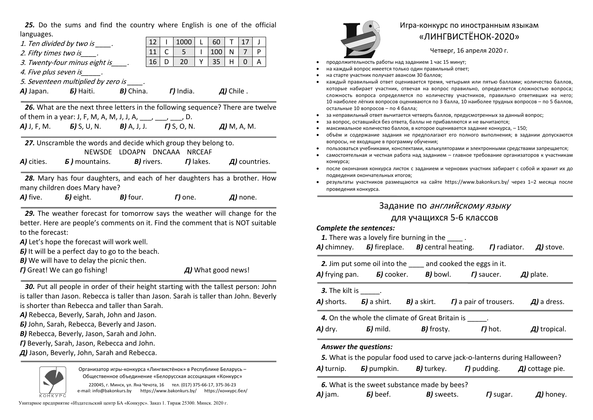*25.* Do the sums and find the country where English is one of the official languages.

| to the forecast:               | 29. The weather forecast for tomorrow says the weather will change for the<br>better. Here are people's comments on it. Find the comment that is NOT suitable<br>A) Let's hope the forecast will work well.<br><b>5)</b> It will be a perfect day to go to the beach. |  |      |   |                |   |     |   |                |   |  |
|--------------------------------|-----------------------------------------------------------------------------------------------------------------------------------------------------------------------------------------------------------------------------------------------------------------------|--|------|---|----------------|---|-----|---|----------------|---|--|
|                                |                                                                                                                                                                                                                                                                       |  |      |   |                |   |     |   |                |   |  |
|                                | 28. Mary has four daughters, and each of her daughters has a brother. How<br>many children does Mary have?<br>A) five. $\qquad$ 5) eight. $\qquad$ B) four. $\qquad$ T) one. $\qquad$ A) none.                                                                        |  |      |   |                |   |     |   |                |   |  |
|                                | A) cities. $\qquad$ 5) mountains. $\qquad$ B) rivers. $\qquad$ T) lakes. $\qquad$ A) countries.                                                                                                                                                                       |  |      |   |                |   |     |   |                |   |  |
|                                | 27. Unscramble the words and decide which group they belong to.<br>NEWSDE LDOAPN DNCAAA NRCEAF                                                                                                                                                                        |  |      |   |                |   |     |   |                |   |  |
|                                | <b>A)</b> J, F, M. <b>b)</b> S, U, N. <b>B)</b> A, J, J. <b>r)</b> S, O, N. <b>A)</b> M, A, M.                                                                                                                                                                        |  |      |   |                |   |     |   |                |   |  |
|                                | 26. What are the next three letters in the following sequence? There are twelve<br>of them in a year: J, F, M, A, M, J, J, A, $\frac{1}{2}$ , $\frac{1}{2}$ , D.                                                                                                      |  |      |   |                |   |     |   |                |   |  |
|                                | A) Japan. <b>5</b> ) Haiti. <b>B</b> ) China. <b>T</b> ) India. <b>A</b> ) Chile.                                                                                                                                                                                     |  |      |   |                |   |     |   |                |   |  |
|                                | 5. Seventeen multiplied by zero is _____.                                                                                                                                                                                                                             |  |      |   |                |   |     |   |                |   |  |
|                                | 3. Twenty-four minus eight is<br>4. Five plus seven is Fig.                                                                                                                                                                                                           |  | 16   | D | 20             | Y | 35  | H | 0              | A |  |
| 2. Fifty times two is          |                                                                                                                                                                                                                                                                       |  |      | C | 5 <sub>1</sub> | L | 100 | N | $\overline{7}$ | P |  |
| 1. Ten divided by two is ____. | 12<br>11                                                                                                                                                                                                                                                              |  | 1000 |   | 60             | T | 17  | J |                |   |  |

*В)* We will have to delay the picnic then.

*Г)* Great! We can go fishing!

*Д)* What good news!

*30.* Put all people in order of their height starting with the tallest person: John is taller than Jason. Rebecca is taller than Jason. Sarah is taller than John. Beverly is shorter than Rebecca and taller than Sarah.

*А)* Rebecca, Beverly, Sarah, John and Jason.

*Б)* John, Sarah, Rebecca, Beverly and Jason.

*В)* Rebecca, Beverly, Jason, Sarah and John.

*Г)* Beverly, Sarah, Jason, Rebecca and John.

*Д)* Jason, Beverly, John, Sarah and Rebecca.



Организатор игры-конкурса «Лингвистёнок» <sup>в</sup> Республике Беларусь – Общественное объединение «Белорусская ассоциация «Конкурс»

220045, <sup>г</sup>. Минск, ул. Яна Чечота, 16 тел. (017) 375-66-17, 375-36-23 e-mail: info@bakonkurs.by https://www.bakonkurs.by/ https://конкурс.бел/

Унитарное предприятие «Издательский центр БА «Конкурс». Заказ 1. Тираж 25300. Минск. 2020 <sup>г</sup>.



## Игра-конкурс по иностранным языкам «ЛИНГВИСТЁНОК-2020»

Четверг, 16 апреля 2020 г.

- . продолжительность работы над заданием 1 час 15 минут;
- . на каждый вопрос имеется только один правильный ответ;
- . на старте участник получает авансом 30 баллов;
- . каждый правильный ответ оценивается тремя, четырьмя или пятью баллами; количество баллов, которые набирает участник, отвечая на вопрос правильно, определяется сложностью вопроса; сложность вопроса определяется по количеству участников, правильно ответивших на него; 10 наиболее лёгких вопросов оцениваются по 3 балла, 10 наиболее трудных вопросов – по 5 баллов, остальные 10 вопросов – по 4 балла;
- . за неправильный ответ вычитается четверть баллов, предусмотренных за данный вопрос;
- . за вопрос, оставшийся без ответа, баллы не прибавляются <sup>и</sup> не вычитаются;
- ۰ максимальное количество баллов, <sup>в</sup> которое оценивается задание конкурса, – 150;
- ۰ объём и содержание задания не предполагают его полного выполнения; в задании допускаются вопросы, не входящие <sup>в</sup> программу обучения;
- $\bullet$ пользоваться учебниками, конспектами, калькуляторами <sup>и</sup> электронными средствами запрещается;
- . самостоятельная и честная работа над заданием – главное требование организаторов <sup>к</sup> участникам конкурса;
- . после окончания конкурса листок <sup>с</sup> заданием <sup>и</sup> черновик участник забирает <sup>с</sup> собой <sup>и</sup> хранит их до подведения окончательных итогов;
- $\bullet$  результаты участников размещаются на сайте https://www.bakonkurs.by/ через 1–2 месяца после проведения конкурса.

# Задание по английскому языку

### для учащихся 5-6 классов

#### *Complete the sentences:*

|                                                                                                                                                                                                             | 1. There was a lovely fire burning in the _____.<br>A) chimney. <b>5</b> ) fireplace. <b>B</b> ) central heating. <b>F</b> ) radiator. <b>A</b> ) stove.                                                                           |  |  |  |  |
|-------------------------------------------------------------------------------------------------------------------------------------------------------------------------------------------------------------|------------------------------------------------------------------------------------------------------------------------------------------------------------------------------------------------------------------------------------|--|--|--|--|
|                                                                                                                                                                                                             | 2. Jim put some oil into the ____ and cooked the eggs in it.<br>A) frying pan. $\qquad$ 5) cooker. $\qquad$ B) bowl. $\qquad$ T) saucer. $\qquad$ A) plate.                                                                        |  |  |  |  |
| <b>3.</b> The kilt is ______.                                                                                                                                                                               | A) shorts. <b>5</b> ) a shirt. <b>B</b> ) a skirt. <b>F</b> ) a pair of trousers. <b>A</b> ) a dress.                                                                                                                              |  |  |  |  |
|                                                                                                                                                                                                             | 4. On the whole the climate of Great Britain is _____.<br>$\mathsf{A}$ ) dry. $\qquad$ $\mathsf{B}$ ) mild. $\qquad$ $\mathsf{B}$ ) frosty. $\qquad$ $\qquad$ $\mathsf{F}$ ) hot. $\qquad$ $\qquad$ $\qquad$ $\qquad$ a) tropical. |  |  |  |  |
| <b>Answer the questions:</b><br>5. What is the popular food used to carve jack-o-lanterns during Halloween?<br>A) turnip. $\bm{5}$ pumpkin. $\bm{B}$ turkey. $\bm{\Gamma}$ pudding. $\bm{\Pi}$ cottage pie. |                                                                                                                                                                                                                                    |  |  |  |  |
|                                                                                                                                                                                                             | 6. What is the sweet substance made by bees?<br><b>A)</b> jam. <b>5)</b> beef. <b>B)</b> sweets. <b>F)</b> sugar. <b>A)</b> honey.                                                                                                 |  |  |  |  |